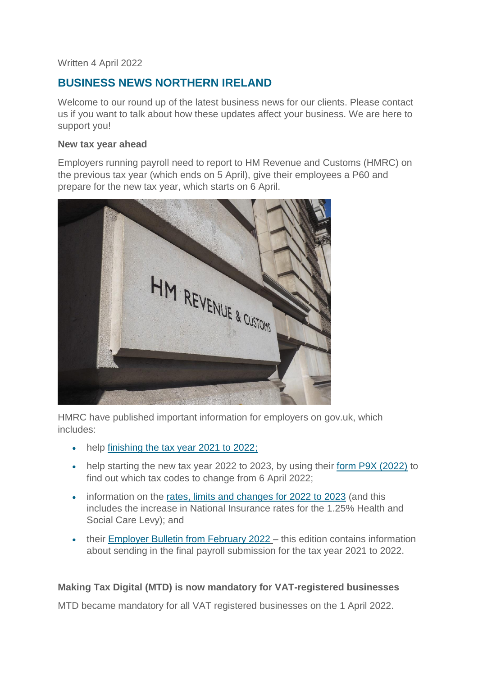#### Written 4 April 2022

# **BUSINESS NEWS NORTHERN IRELAND**

Welcome to our round up of the latest business news for our clients. Please contact us if you want to talk about how these updates affect your business. We are here to support you!

#### **New tax year ahead**

Employers running payroll need to report to HM Revenue and Customs (HMRC) on the previous tax year (which ends on 5 April), give their employees a P60 and prepare for the new tax year, which starts on 6 April.



HMRC have published important information for employers on gov.uk, which includes:

- help [finishing the tax year 2021 to 2022;](https://www.gov.uk/payroll-annual-reporting)
- help starting the new tax year 2022 to 2023, by using their [form P9X \(2022\)](https://www.gov.uk/government/publications/p9x-tax-codes) to find out which tax codes to change from 6 April 2022;
- information on the [rates, limits and changes for 2022 to 2023](https://www.gov.uk/guidance/rates-and-thresholds-for-employers-2022-to-2023) (and this includes the increase in National Insurance rates for the 1.25% Health and Social Care Levy); and
- their [Employer Bulletin from February 2022](https://www.gov.uk/government/publications/employer-bulletin-february-2022) this edition contains information about sending in the final payroll submission for the tax year 2021 to 2022.

# **Making Tax Digital (MTD) is now mandatory for VAT-registered businesses**

MTD became mandatory for all VAT registered businesses on the 1 April 2022.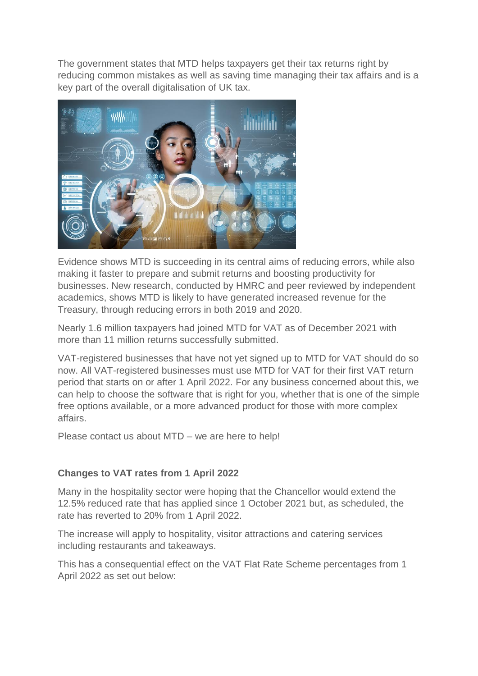The government states that MTD helps taxpayers get their tax returns right by reducing common mistakes as well as saving time managing their tax affairs and is a key part of the overall digitalisation of UK tax.



Evidence shows MTD is succeeding in its central aims of reducing errors, while also making it faster to prepare and submit returns and boosting productivity for businesses. New research, conducted by HMRC and peer reviewed by independent academics, shows MTD is likely to have generated increased revenue for the Treasury, through reducing errors in both 2019 and 2020.

Nearly 1.6 million taxpayers had joined MTD for VAT as of December 2021 with more than 11 million returns successfully submitted.

VAT-registered businesses that have not yet signed up to MTD for VAT should do so now. All VAT-registered businesses must use MTD for VAT for their first VAT return period that starts on or after 1 April 2022. For any business concerned about this, we can help to choose the software that is right for you, whether that is one of the simple free options available, or a more advanced product for those with more complex affairs.

Please contact us about MTD – we are here to help!

### **Changes to VAT rates from 1 April 2022**

Many in the hospitality sector were hoping that the Chancellor would extend the 12.5% reduced rate that has applied since 1 October 2021 but, as scheduled, the rate has reverted to 20% from 1 April 2022.

The increase will apply to hospitality, visitor attractions and catering services including restaurants and takeaways.

This has a consequential effect on the VAT Flat Rate Scheme percentages from 1 April 2022 as set out below: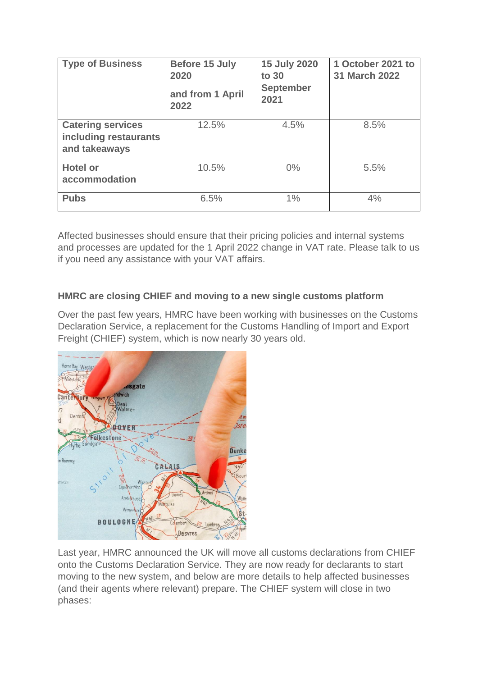| <b>Type of Business</b>                                            | <b>Before 15 July</b><br>2020<br>and from 1 April<br>2022 | <b>15 July 2020</b><br>to 30<br><b>September</b><br>2021 | 1 October 2021 to<br><b>31 March 2022</b> |
|--------------------------------------------------------------------|-----------------------------------------------------------|----------------------------------------------------------|-------------------------------------------|
| <b>Catering services</b><br>including restaurants<br>and takeaways | 12.5%                                                     | 4.5%                                                     | 8.5%                                      |
| <b>Hotel or</b><br>accommodation                                   | 10.5%                                                     | $0\%$                                                    | 5.5%                                      |
| <b>Pubs</b>                                                        | 6.5%                                                      | 1%                                                       | 4%                                        |

Affected businesses should ensure that their pricing policies and internal systems and processes are updated for the 1 April 2022 change in VAT rate. Please talk to us if you need any assistance with your VAT affairs.

# **HMRC are closing CHIEF and moving to a new single customs platform**

Over the past few years, HMRC have been working with businesses on the Customs Declaration Service, a replacement for the Customs Handling of Import and Export Freight (CHIEF) system, which is now nearly 30 years old.



Last year, HMRC announced the UK will move all customs declarations from CHIEF onto the Customs Declaration Service. They are now ready for declarants to start moving to the new system, and below are more details to help affected businesses (and their agents where relevant) prepare. The CHIEF system will close in two phases: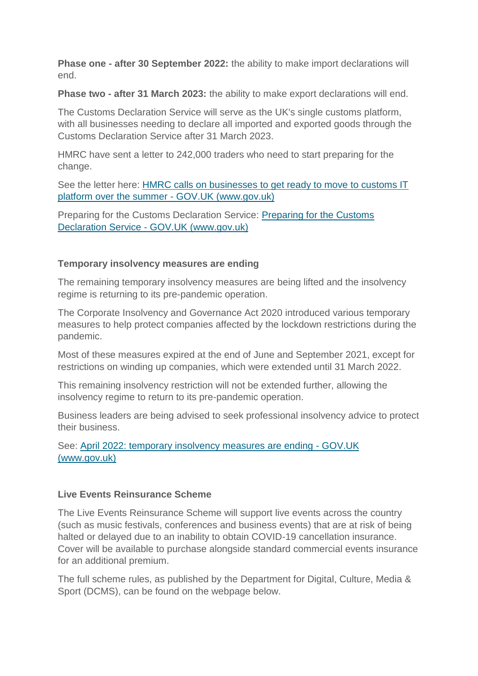**Phase one - after 30 September 2022:** the ability to make import declarations will end.

**Phase two - after 31 March 2023:** the ability to make export declarations will end.

The Customs Declaration Service will serve as the UK's single customs platform, with all businesses needing to declare all imported and exported goods through the Customs Declaration Service after 31 March 2023.

HMRC have sent a letter to 242,000 traders who need to start preparing for the change.

See the letter here: [HMRC calls on businesses to get ready to move to customs IT](https://www.gov.uk/government/news/hmrc-calls-on-businesses-to-get-ready-to-move-to-customs-it-platform-over-the-summer?&utm_source=traders_email&utm_medium=stk_email&utm_campaign=transition&utm_content=24_Mar)  [platform over the summer -](https://www.gov.uk/government/news/hmrc-calls-on-businesses-to-get-ready-to-move-to-customs-it-platform-over-the-summer?&utm_source=traders_email&utm_medium=stk_email&utm_campaign=transition&utm_content=24_Mar) GOV.UK (www.gov.uk)

Preparing for the Customs Declaration Service: [Preparing for the Customs](https://www.gov.uk/guidance/how-hmrc-will-introduce-the-customs-declaration-service)  Declaration Service - [GOV.UK \(www.gov.uk\)](https://www.gov.uk/guidance/how-hmrc-will-introduce-the-customs-declaration-service)

### **Temporary insolvency measures are ending**

The remaining temporary insolvency measures are being lifted and the insolvency regime is returning to its pre-pandemic operation.

The Corporate Insolvency and Governance Act 2020 introduced various temporary measures to help protect companies affected by the lockdown restrictions during the pandemic.

Most of these measures expired at the end of June and September 2021, except for restrictions on winding up companies, which were extended until 31 March 2022.

This remaining insolvency restriction will not be extended further, allowing the insolvency regime to return to its pre-pandemic operation.

Business leaders are being advised to seek professional insolvency advice to protect their business.

See: [April 2022: temporary insolvency measures are ending -](https://www.gov.uk/government/news/april-2022-temporary-insolvency-measures-are-ending) GOV.UK [\(www.gov.uk\)](https://www.gov.uk/government/news/april-2022-temporary-insolvency-measures-are-ending)

### **Live Events Reinsurance Scheme**

The Live Events Reinsurance Scheme will support live events across the country (such as music festivals, conferences and business events) that are at risk of being halted or delayed due to an inability to obtain COVID-19 cancellation insurance. Cover will be available to purchase alongside standard commercial events insurance for an additional premium.

The full scheme rules, as published by the Department for Digital, Culture, Media & Sport (DCMS), can be found on the webpage below.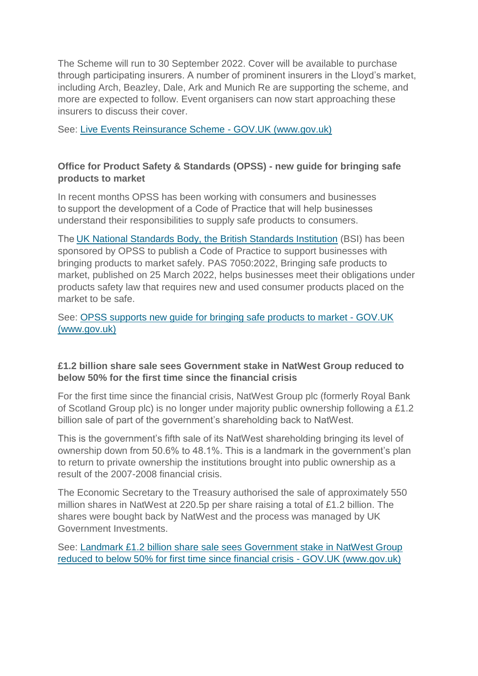The Scheme will run to 30 September 2022. Cover will be available to purchase through participating insurers. A number of prominent insurers in the Lloyd's market, including Arch, Beazley, Dale, Ark and Munich Re are supporting the scheme, and more are expected to follow. Event organisers can now start approaching these insurers to discuss their cover.

See: [Live Events Reinsurance Scheme -](https://www.gov.uk/government/publications/live-events-reinsurance-scheme?utm_medium=email&utm_campaign=govuk-notifications-topic&utm_source=c1ac5120-1357-4dcb-a1e8-231f8dc783e9&utm_content=daily) GOV.UK (www.gov.uk)

## **Office for Product Safety & Standards (OPSS) - new guide for bringing safe products to market**

In recent months OPSS has been working with consumers and businesses to support the development of a Code of Practice that will help businesses understand their responsibilities to supply safe products to consumers.

The[UK National Standards Body, the British Standards Institution](https://www.bsigroup.com/en-GB/about-bsi/media-centre/press-releases/2022/march/new-standards-support-businesses-and-regulators-to--place-safe-products-on-the-uk-market/) (BSI) has been sponsored by OPSS to publish a Code of Practice to support businesses with bringing products to market safely. PAS 7050:2022, Bringing safe products to market, published on 25 March 2022, helps businesses meet their obligations under products safety law that requires new and used consumer products placed on the market to be safe.

#### See: [OPSS supports new guide for bringing safe products to market -](https://www.gov.uk/government/news/opss-supports-new-guide-for-bringing-safe-products-to-market) GOV.UK [\(www.gov.uk\)](https://www.gov.uk/government/news/opss-supports-new-guide-for-bringing-safe-products-to-market)

### **£1.2 billion share sale sees Government stake in NatWest Group reduced to below 50% for the first time since the financial crisis**

For the first time since the financial crisis, NatWest Group plc (formerly Royal Bank of Scotland Group plc) is no longer under majority public ownership following a £1.2 billion sale of part of the government's shareholding back to NatWest.

This is the government's fifth sale of its NatWest shareholding bringing its level of ownership down from 50.6% to 48.1%. This is a landmark in the government's plan to return to private ownership the institutions brought into public ownership as a result of the 2007-2008 financial crisis.

The Economic Secretary to the Treasury authorised the sale of approximately 550 million shares in NatWest at 220.5p per share raising a total of £1.2 billion. The shares were bought back by NatWest and the process was managed by UK Government Investments.

See: [Landmark £1.2 billion share sale sees Government stake in NatWest Group](https://www.gov.uk/government/news/landmark-12-billion-share-sale-sees-government-stake-in-natwest-group-reduced-to-below-50-for-first-time-since-financial-crisis)  reduced [to below 50% for first time since financial crisis -](https://www.gov.uk/government/news/landmark-12-billion-share-sale-sees-government-stake-in-natwest-group-reduced-to-below-50-for-first-time-since-financial-crisis) GOV.UK (www.gov.uk)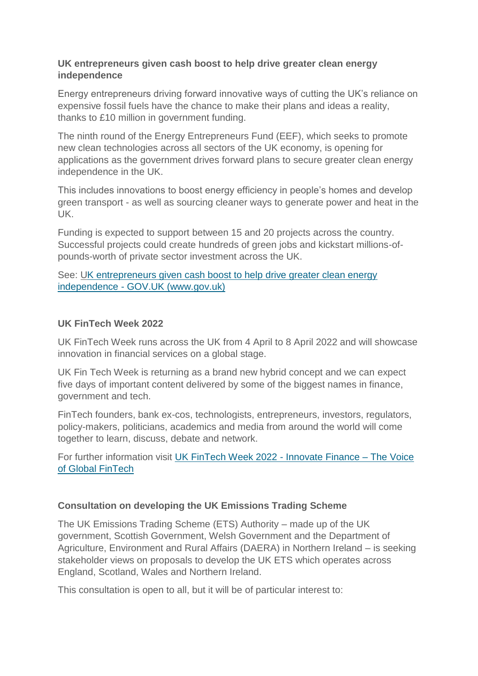#### **UK entrepreneurs given cash boost to help drive greater clean energy independence**

Energy entrepreneurs driving forward innovative ways of cutting the UK's reliance on expensive fossil fuels have the chance to make their plans and ideas a reality, thanks to £10 million in government funding.

The ninth round of the Energy Entrepreneurs Fund (EEF), which seeks to promote new clean technologies across all sectors of the UK economy, is opening for applications as the government drives forward plans to secure greater clean energy independence in the UK.

This includes innovations to boost energy efficiency in people's homes and develop green transport - as well as sourcing cleaner ways to generate power and heat in the UK.

Funding is expected to support between 15 and 20 projects across the country. Successful projects could create hundreds of green jobs and kickstart millions-ofpounds-worth of private sector investment across the UK.

See: [UK entrepreneurs given cash boost to help drive greater clean energy](https://www.gov.uk/government/news/uk-entrepreneurs-given-cash-boost-to-help-drive-greater-clean-energy-independence)  independence - [GOV.UK \(www.gov.uk\)](https://www.gov.uk/government/news/uk-entrepreneurs-given-cash-boost-to-help-drive-greater-clean-energy-independence)

### **UK FinTech Week 2022**

UK FinTech Week runs across the UK from 4 April to 8 April 2022 and will showcase innovation in financial services on a global stage.

UK Fin Tech Week is returning as a brand new hybrid concept and we can expect five days of important content delivered by some of the biggest names in finance, government and tech.

FinTech founders, bank ex-cos, technologists, entrepreneurs, investors, regulators, policy-makers, politicians, academics and media from around the world will come together to learn, discuss, debate and network.

For further information visit [UK FinTech Week 2022 -](https://www.innovatefinance.com/ukfintechweek/) Innovate Finance – The Voice [of Global FinTech](https://www.innovatefinance.com/ukfintechweek/)

### **Consultation on developing the UK Emissions Trading Scheme**

The UK Emissions Trading Scheme (ETS) Authority – made up of the UK government, Scottish Government, Welsh Government and the Department of Agriculture, Environment and Rural Affairs (DAERA) in Northern Ireland – is seeking stakeholder views on proposals to develop the UK ETS which operates across England, Scotland, Wales and Northern Ireland.

This consultation is open to all, but it will be of particular interest to: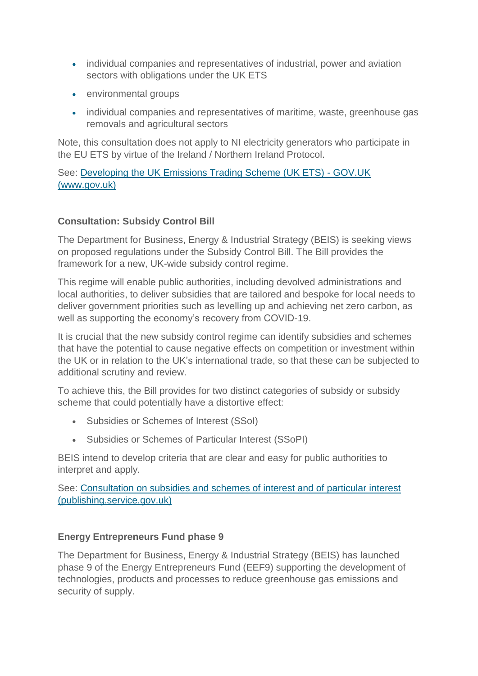- individual companies and representatives of industrial, power and aviation sectors with obligations under the UK ETS
- environmental groups
- individual companies and representatives of maritime, waste, greenhouse gas removals and agricultural sectors

Note, this consultation does not apply to NI electricity generators who participate in the EU ETS by virtue of the Ireland / Northern Ireland Protocol.

See: [Developing the UK Emissions Trading Scheme \(UK ETS\) -](https://www.gov.uk/government/consultations/developing-the-uk-emissions-trading-scheme-uk-ets) GOV.UK [\(www.gov.uk\)](https://www.gov.uk/government/consultations/developing-the-uk-emissions-trading-scheme-uk-ets)

# **Consultation: Subsidy Control Bill**

The Department for Business, Energy & Industrial Strategy (BEIS) is seeking views on proposed regulations under the Subsidy Control Bill. The Bill provides the framework for a new, UK-wide subsidy control regime.

This regime will enable public authorities, including devolved administrations and local authorities, to deliver subsidies that are tailored and bespoke for local needs to deliver government priorities such as levelling up and achieving net zero carbon, as well as supporting the economy's recovery from COVID-19.

It is crucial that the new subsidy control regime can identify subsidies and schemes that have the potential to cause negative effects on competition or investment within the UK or in relation to the UK's international trade, so that these can be subjected to additional scrutiny and review.

To achieve this, the Bill provides for two distinct categories of subsidy or subsidy scheme that could potentially have a distortive effect:

- Subsidies or Schemes of Interest (SSoI)
- Subsidies or Schemes of Particular Interest (SSoPI)

BEIS intend to develop criteria that are clear and easy for public authorities to interpret and apply.

See: [Consultation on subsidies and schemes of interest and of particular interest](https://assets.publishing.service.gov.uk/government/uploads/system/uploads/attachment_data/file/1063355/ssopi-and-ssoi-consultation.pdf)  [\(publishing.service.gov.uk\)](https://assets.publishing.service.gov.uk/government/uploads/system/uploads/attachment_data/file/1063355/ssopi-and-ssoi-consultation.pdf)

### **Energy Entrepreneurs Fund phase 9**

The Department for Business, Energy & Industrial Strategy (BEIS) has launched phase 9 of the Energy Entrepreneurs Fund (EEF9) supporting the development of technologies, products and processes to reduce greenhouse gas emissions and security of supply.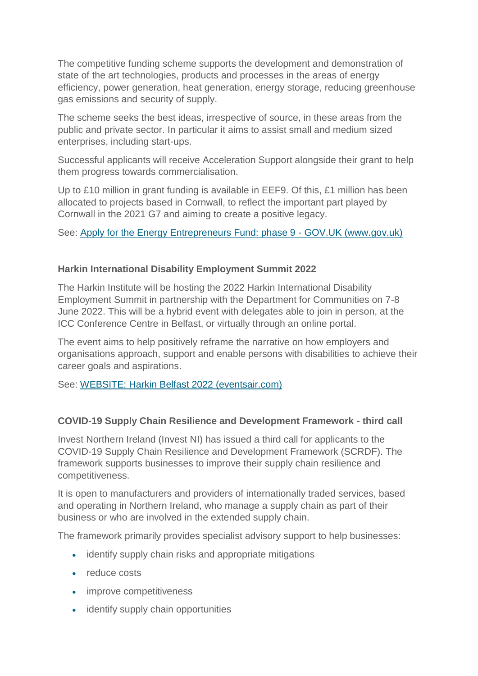The competitive funding scheme supports the development and demonstration of state of the art technologies, products and processes in the areas of energy efficiency, power generation, heat generation, energy storage, reducing greenhouse gas emissions and security of supply.

The scheme seeks the best ideas, irrespective of source, in these areas from the public and private sector. In particular it aims to assist small and medium sized enterprises, including start-ups.

Successful applicants will receive Acceleration Support alongside their grant to help them progress towards commercialisation.

Up to £10 million in grant funding is available in EEF9. Of this, £1 million has been allocated to projects based in Cornwall, to reflect the important part played by Cornwall in the 2021 G7 and aiming to create a positive legacy.

See: [Apply for the Energy Entrepreneurs Fund: phase 9 -](https://www.gov.uk/government/publications/energy-entrepreneurs-fund-phase-9) GOV.UK (www.gov.uk)

# **Harkin International Disability Employment Summit 2022**

The Harkin Institute will be hosting the 2022 Harkin International Disability Employment Summit in partnership with the Department for Communities on 7-8 June 2022. This will be a hybrid event with delegates able to join in person, at the ICC Conference Centre in Belfast, or virtually through an online portal.

The event aims to help positively reframe the narrative on how employers and organisations approach, support and enable persons with disabilities to achieve their career goals and aspirations.

See: [WEBSITE: Harkin Belfast 2022 \(eventsair.com\)](https://eventfulbelfast.eventsair.com/harkinsummit2022/)

### **COVID-19 Supply Chain Resilience and Development Framework - third call**

Invest Northern Ireland (Invest NI) has issued a third call for applicants to the COVID-19 Supply Chain Resilience and Development Framework (SCRDF). The framework supports businesses to improve their supply chain resilience and competitiveness.

It is open to manufacturers and providers of internationally traded services, based and operating in Northern Ireland, who manage a supply chain as part of their business or who are involved in the extended supply chain.

The framework primarily provides specialist advisory support to help businesses:

- identify supply chain risks and appropriate mitigations
- reduce costs
- improve competitiveness
- identify supply chain opportunities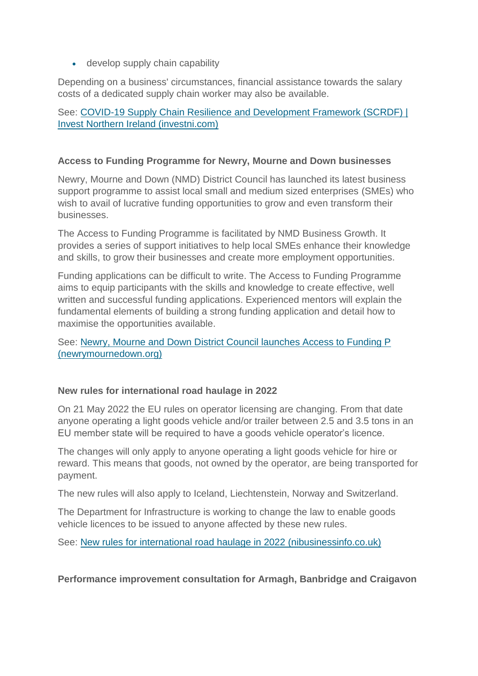• develop supply chain capability

Depending on a business' circumstances, financial assistance towards the salary costs of a dedicated supply chain worker may also be available.

See: [COVID-19 Supply Chain Resilience and Development Framework \(SCRDF\) |](https://www.investni.com/covid-19-supply-chain-resilience-and-development-framework)  [Invest Northern Ireland \(investni.com\)](https://www.investni.com/covid-19-supply-chain-resilience-and-development-framework)

#### **Access to Funding Programme for Newry, Mourne and Down businesses**

Newry, Mourne and Down (NMD) District Council has launched its latest business support programme to assist local small and medium sized enterprises (SMEs) who wish to avail of lucrative funding opportunities to grow and even transform their businesses.

The Access to Funding Programme is facilitated by NMD Business Growth. It provides a series of support initiatives to help local SMEs enhance their knowledge and skills, to grow their businesses and create more employment opportunities.

Funding applications can be difficult to write. The Access to Funding Programme aims to equip participants with the skills and knowledge to create effective, well written and successful funding applications. Experienced mentors will explain the fundamental elements of building a strong funding application and detail how to maximise the opportunities available.

See: [Newry, Mourne and Down District Council launches Access to Funding P](https://www.newrymournedown.org/newry-mourne-and-down-district-council-launches-access-to-funding-programme-to-help-local-businesses-secure-financial-support)  [\(newrymournedown.org\)](https://www.newrymournedown.org/newry-mourne-and-down-district-council-launches-access-to-funding-programme-to-help-local-businesses-secure-financial-support)

#### **New rules for international road haulage in 2022**

On 21 May 2022 the EU rules on operator licensing are changing. From that date anyone operating a light goods vehicle and/or trailer between 2.5 and 3.5 tons in an EU member state will be required to have a goods vehicle operator's licence.

The changes will only apply to anyone operating a light goods vehicle for hire or reward. This means that goods, not owned by the operator, are being transported for payment.

The new rules will also apply to Iceland, Liechtenstein, Norway and Switzerland.

The Department for Infrastructure is working to change the law to enable goods vehicle licences to be issued to anyone affected by these new rules.

See: [New rules for international road haulage in 2022 \(nibusinessinfo.co.uk\)](https://www.nibusinessinfo.co.uk/content/new-rules-international-road-haulage-2022)

**Performance improvement consultation for Armagh, Banbridge and Craigavon**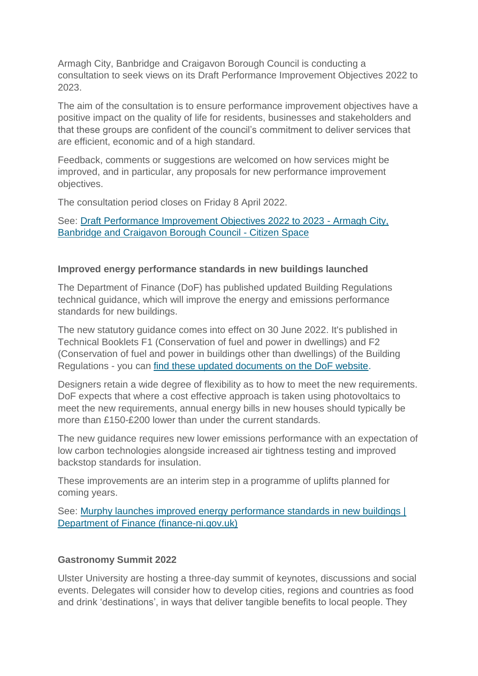Armagh City, Banbridge and Craigavon Borough Council is conducting a consultation to seek views on its Draft Performance Improvement Objectives 2022 to 2023.

The aim of the consultation is to ensure performance improvement objectives have a positive impact on the quality of life for residents, businesses and stakeholders and that these groups are confident of the council's commitment to deliver services that are efficient, economic and of a high standard.

Feedback, comments or suggestions are welcomed on how services might be improved, and in particular, any proposals for new performance improvement objectives.

The consultation period closes on Friday 8 April 2022.

See: [Draft Performance Improvement Objectives 2022 to 2023 -](https://armaghbanbridgecraigavon.citizenspace.com/performance-audit/new-draftperformanceobjectives2022-23/) Armagh City, [Banbridge and Craigavon Borough Council -](https://armaghbanbridgecraigavon.citizenspace.com/performance-audit/new-draftperformanceobjectives2022-23/) Citizen Space

#### **Improved energy performance standards in new buildings launched**

The Department of Finance (DoF) has published updated Building Regulations technical guidance, which will improve the energy and emissions performance standards for new buildings.

The new statutory guidance comes into effect on 30 June 2022. It's published in Technical Booklets F1 (Conservation of fuel and power in dwellings) and F2 (Conservation of fuel and power in buildings other than dwellings) of the Building Regulations - you can [find these updated documents on the DoF website.](https://www.finance-ni.gov.uk/articles/building-regulations-technical-booklets)

Designers retain a wide degree of flexibility as to how to meet the new requirements. DoF expects that where a cost effective approach is taken using photovoltaics to meet the new requirements, annual energy bills in new houses should typically be more than £150-£200 lower than under the current standards.

The new guidance requires new lower emissions performance with an expectation of low carbon technologies alongside increased air tightness testing and improved backstop standards for insulation.

These improvements are an interim step in a programme of uplifts planned for coming years.

See: [Murphy launches improved energy performance standards in new buildings |](https://www.finance-ni.gov.uk/news/murphy-launches-improved-energy-performance-standards-new-buildings)  [Department of Finance \(finance-ni.gov.uk\)](https://www.finance-ni.gov.uk/news/murphy-launches-improved-energy-performance-standards-new-buildings)

#### **Gastronomy Summit 2022**

Ulster University are hosting a three-day summit of keynotes, discussions and social events. Delegates will consider how to develop cities, regions and countries as food and drink 'destinations', in ways that deliver tangible benefits to local people. They